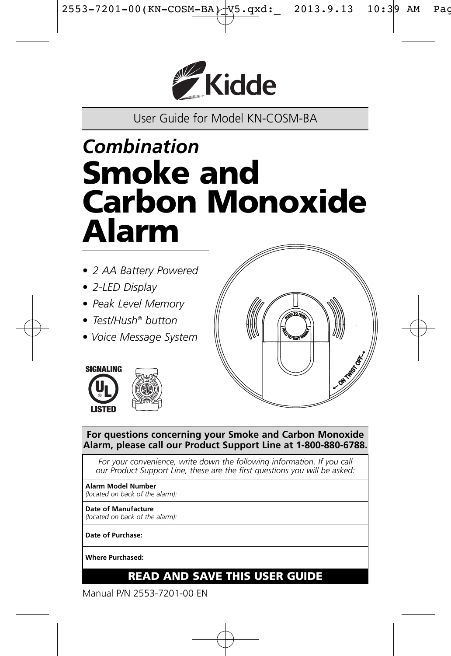

User Guide for Model KN-COSM-BA

# *Combination* **Smoke and Carbon Monoxide Alarm**

- *2 AA Battery Powered*
- *2-LED Display*
- *Peak Level Memory*
- *Test/Hush® button*
- *Voice Message System*







**For questions concerning your Smoke and Carbon Monoxide Alarm, please call our Product Support Line at 1-800-880-6788.**

For your convenience, write down the following information. If you call *our Product Support Line, these are the first questions you will be asked:*

| Alarm Model Number<br>(located on back of the alarm):  |  |
|--------------------------------------------------------|--|
| Date of Manufacture<br>(located on back of the alarm): |  |
| Date of Purchase:                                      |  |
| <b>Where Purchased:</b>                                |  |
|                                                        |  |

### **READ AND SAVE THIS USER GUIDE**

Manual P/N 2553-7201-00 EN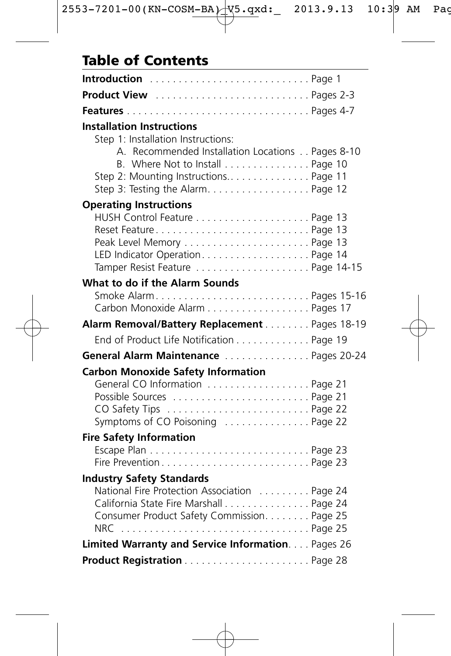# **Table of Contents**

| Introduction  Page 1                                                                                                                                                                           |  |
|------------------------------------------------------------------------------------------------------------------------------------------------------------------------------------------------|--|
|                                                                                                                                                                                                |  |
|                                                                                                                                                                                                |  |
| <b>Installation Instructions</b><br>Step 1: Installation Instructions:<br>A. Recommended Installation Locations Pages 8-10<br>B. Where Not to Install Page 10                                  |  |
| <b>Operating Instructions</b><br>Reset FeaturePage 13<br>Tamper Resist Feature Page 14-15                                                                                                      |  |
| What to do if the Alarm Sounds<br>Smoke AlarmPages 15-16<br>Carbon Monoxide Alarm Pages 17                                                                                                     |  |
| Alarm Removal/Battery Replacement Pages 18-19                                                                                                                                                  |  |
| End of Product Life Notification Page 19                                                                                                                                                       |  |
| General Alarm Maintenance Pages 20-24                                                                                                                                                          |  |
| <b>Carbon Monoxide Safety Information</b><br>General CO Information Page 21                                                                                                                    |  |
| <b>Fire Safety Information</b><br>Fire Prevention Page 23                                                                                                                                      |  |
| <b>Industry Safety Standards</b><br>National Fire Protection Association  Page 24<br>California State Fire Marshall Page 24<br>Consumer Product Safety Commission. Page 25<br>$NRC$<br>Page 25 |  |
| Limited Warranty and Service Information. Pages 26                                                                                                                                             |  |
|                                                                                                                                                                                                |  |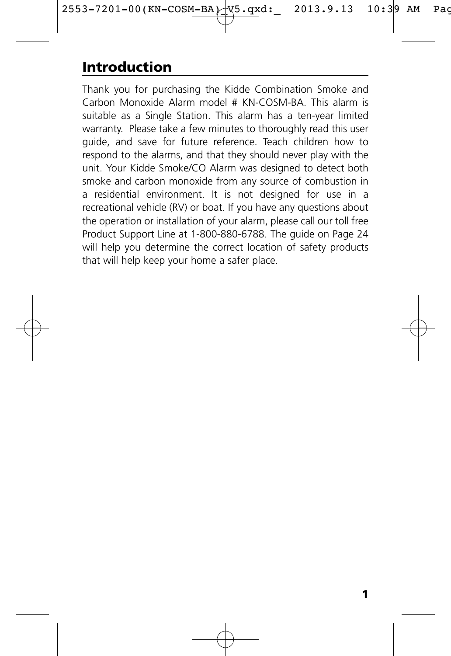# **Introduction**

Thank you for purchasing the Kidde Combination Smoke and Carbon Monoxide Alarm model # KN-COSM-BA. This alarm is suitable as a Single Station. This alarm has a ten-year limited warranty. Please take a few minutes to thoroughly read this user guide, and save for future reference. Teach children how to respond to the alarms, and that they should never play with the unit. Your Kidde Smoke/CO Alarm was designed to detect both smoke and carbon monoxide from any source of combustion in a residential environment. It is not designed for use in a recreational vehicle (RV) or boat. If you have any questions about the operation or installation of your alarm, please call our toll free Product Support Line at 1-800-880-6788. The guide on Page 24 will help you determine the correct location of safety products that will help keep your home a safer place.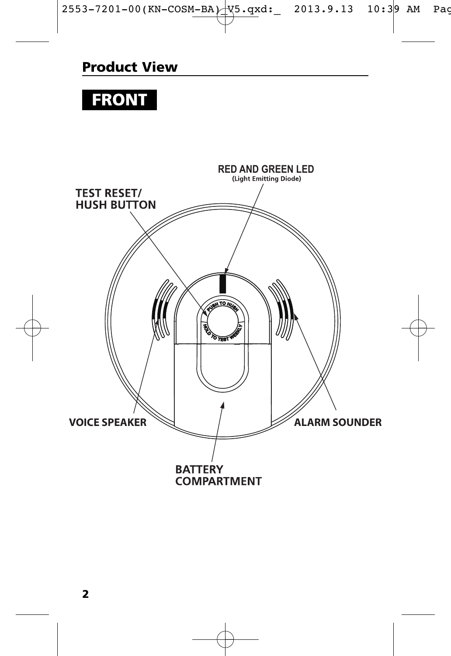### **Product View**

# **FRONT**

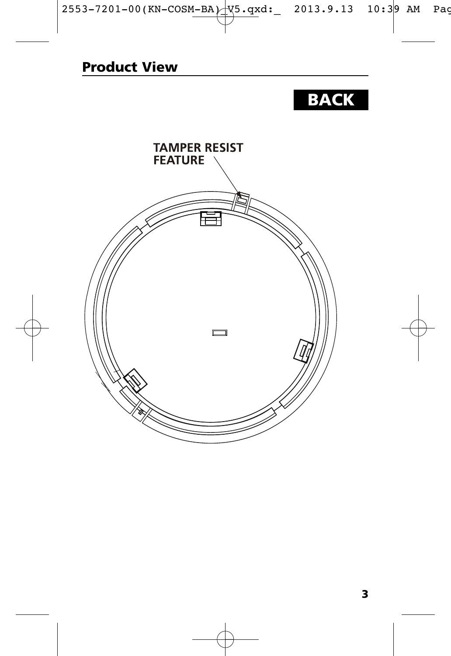# **BACK**

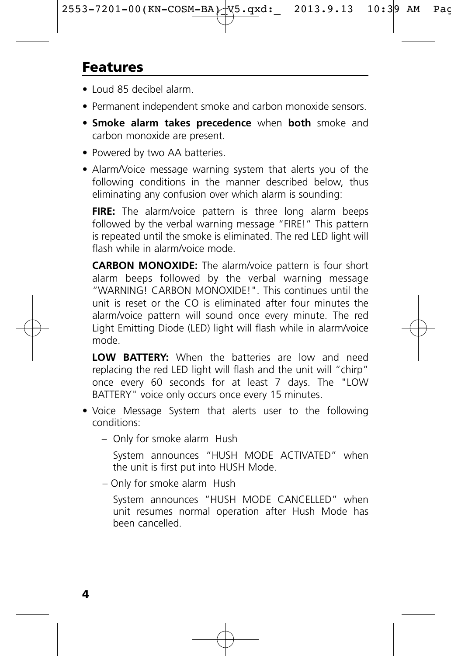# **Features**

- Loud 85 decibel alarm.
- Permanent independent smoke and carbon monoxide sensors.
- **Smoke alarm takes precedence** when **both** smoke and carbon monoxide are present.
- Powered by two AA batteries.
- Alarm/Voice message warning system that alerts you of the following conditions in the manner described below, thus eliminating any confusion over which alarm is sounding:

**FIRE:** The alarm/voice pattern is three long alarm beeps followed by the verbal warning message "FIRE!" This pattern is repeated until the smoke is eliminated. The red LED light will flash while in alarm/voice mode.

**CARBON MONOXIDE:** The alarm/voice pattern is four short alarm beeps followed by the verbal warning message "WARNING! CARBON MONOXIDE!". This continues until the unit is reset or the CO is eliminated after four minutes the alarm/voice pattern will sound once every minute. The red Light Emitting Diode (LED) light will flash while in alarm/voice mode.

**LOW BATTERY:** When the batteries are low and need replacing the red LED light will flash and the unit will "chirp" once every 60 seconds for at least 7 days. The "LOW BATTERY" voice only occurs once every 15 minutes.

- Voice Message System that alerts user to the following conditions:
	- Only for smoke alarm Hush

System announces "HUSH MODE ACTIVATED" when the unit is first put into HUSH Mode.

– Only for smoke alarm Hush

System announces "HUSH MODE CANCELLED" when unit resumes normal operation after Hush Mode has been cancelled.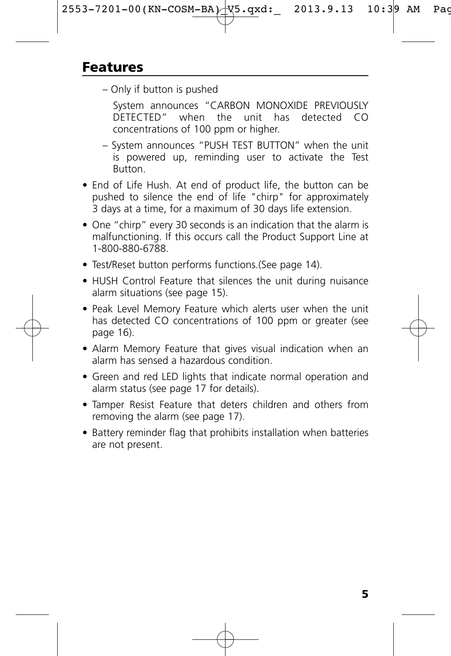– Only if button is pushed

System announces "CARBON MONOXIDE PREVIOUSLY DETECTED" when the unit has detected CO concentrations of 100 ppm or higher.

- System announces "PUSH TEST BUTTON" when the unit is powered up, reminding user to activate the Test Button.
- End of Life Hush. At end of product life, the button can be pushed to silence the end of life "chirp" for approximately 3 days at a time, for a maximum of 30 days life extension.
- One "chirp" every 30 seconds is an indication that the alarm is malfunctioning. If this occurs call the Product Support Line at 1-800-880-6788.
- Test/Reset button performs functions.(See page 14).
- HUSH Control Feature that silences the unit during nuisance alarm situations (see page 15).
- Peak Level Memory Feature which alerts user when the unit has detected CO concentrations of 100 ppm or greater (see page 16).
- Alarm Memory Feature that gives visual indication when an alarm has sensed a hazardous condition.
- Green and red LED lights that indicate normal operation and alarm status (see page 17 for details).
- Tamper Resist Feature that deters children and others from removing the alarm (see page 17).
- Battery reminder flag that prohibits installation when batteries are not present.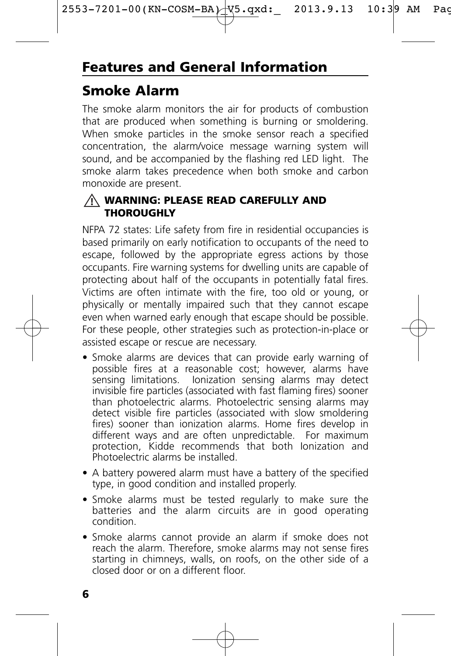### **Smoke Alarm**

The smoke alarm monitors the air for products of combustion that are produced when something is burning or smoldering. When smoke particles in the smoke sensor reach a specified concentration, the alarm/voice message warning system will sound, and be accompanied by the flashing red LED light. The smoke alarm takes precedence when both smoke and carbon monoxide are present.

#### **WARNING: PLEASE READ CAREFULLY AND ! THOROUGHLY**

NFPA 72 states: Life safety from fire in residential occupancies is based primarily on early notification to occupants of the need to escape, followed by the appropriate egress actions by those occupants. Fire warning systems for dwelling units are capable of protecting about half of the occupants in potentially fatal fires. Victims are often intimate with the fire, too old or young, or physically or mentally impaired such that they cannot escape even when warned early enough that escape should be possible. For these people, other strategies such as protection-in-place or assisted escape or rescue are necessary.

- Smoke alarms are devices that can provide early warning of possible fires at a reasonable cost; however, alarms have sensing limitations. Ionization sensing alarms may detect invisible fire particles (associated with fast flaming fires) sooner than photoelectric alarms. Photoelectric sensing alarms may detect visible fire particles (associated with slow smoldering fires) sooner than ionization alarms. Home fires develop in different ways and are often unpredictable. For maximum protection, Kidde recommends that both Ionization and Photoelectric alarms be installed.
- A battery powered alarm must have a battery of the specified type, in good condition and installed properly.
- Smoke alarms must be tested regularly to make sure the batteries and the alarm circuits are in good operating condition.
- Smoke alarms cannot provide an alarm if smoke does not reach the alarm. Therefore, smoke alarms may not sense fires starting in chimneys, walls, on roofs, on the other side of a closed door or on a different floor.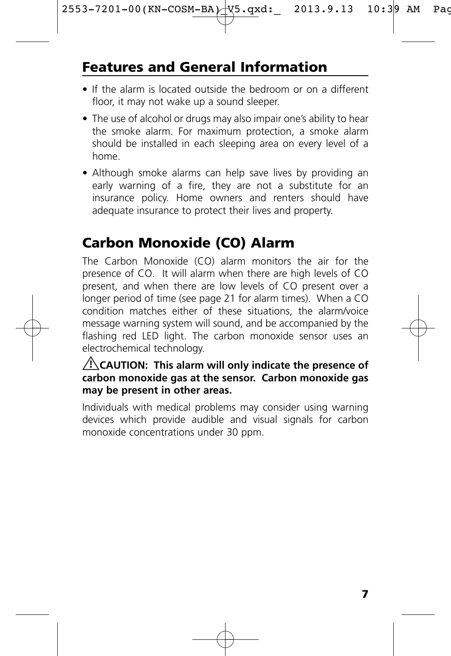# **Features and General Information**

- If the alarm is located outside the bedroom or on a different floor, it may not wake up a sound sleeper.
- The use of alcohol or drugs may also impair one's ability to hear the smoke alarm. For maximum protection, a smoke alarm should be installed in each sleeping area on every level of a home.
- Although smoke alarms can help save lives by providing an early warning of a fire, they are not a substitute for an insurance policy. Home owners and renters should have adequate insurance to protect their lives and property.

# **Carbon Monoxide (CO) Alarm**

The Carbon Monoxide (CO) alarm monitors the air for the presence of CO. It will alarm when there are high levels of CO present, and when there are low levels of CO present over a longer period of time (see page 21 for alarm times). When a CO condition matches either of these situations, the alarm/voice message warning system will sound, and be accompanied by the flashing red LED light. The carbon monoxide sensor uses an electrochemical technology.

#### **CAUTION: This alarm will only indicate the presence of ! carbon monoxide gas at the sensor. Carbon monoxide gas may be present in other areas.**

Individuals with medical problems may consider using warning devices which provide audible and visual signals for carbon monoxide concentrations under 30 ppm.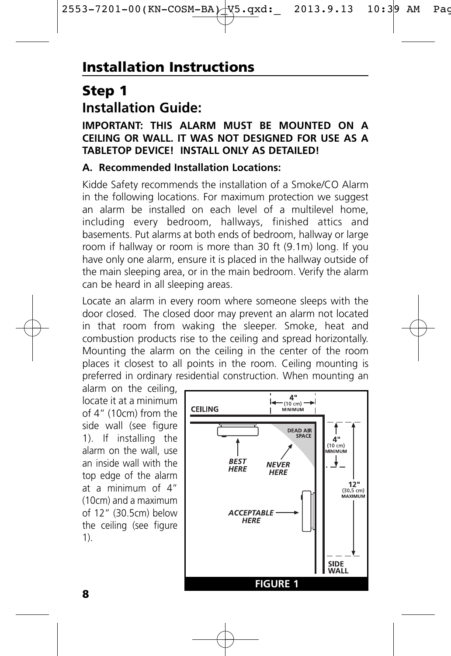### **Step 1 Installation Guide:**

#### **IMPORTANT: THIS ALARM MUST BE MOUNTED ON A CEILING OR WALL. IT WAS NOT DESIGNED FOR USE AS A TABLETOP DEVICE! INSTALL ONLY AS DETAILED!**

#### **A. Recommended Installation Locations:**

Kidde Safety recommends the installation of a Smoke/CO Alarm in the following locations. For maximum protection we suggest an alarm be installed on each level of a multilevel home, including every bedroom, hallways, finished attics and basements. Put alarms at both ends of bedroom, hallway or large room if hallway or room is more than 30 ft (9.1m) long. If you have only one alarm, ensure it is placed in the hallway outside of the main sleeping area, or in the main bedroom. Verify the alarm can be heard in all sleeping areas.

Locate an alarm in every room where someone sleeps with the door closed. The closed door may prevent an alarm not located in that room from waking the sleeper. Smoke, heat and combustion products rise to the ceiling and spread horizontally. Mounting the alarm on the ceiling in the center of the room places it closest to all points in the room. Ceiling mounting is preferred in ordinary residential construction. When mounting an

alarm on the ceiling, locate it at a minimum of 4" (10cm) from the side wall (see figure 1). If installing the alarm on the wall, use an inside wall with the top edge of the alarm at a minimum of 4" (10cm) and a maximum of 12" (30.5cm) below the ceiling (see figure 1).

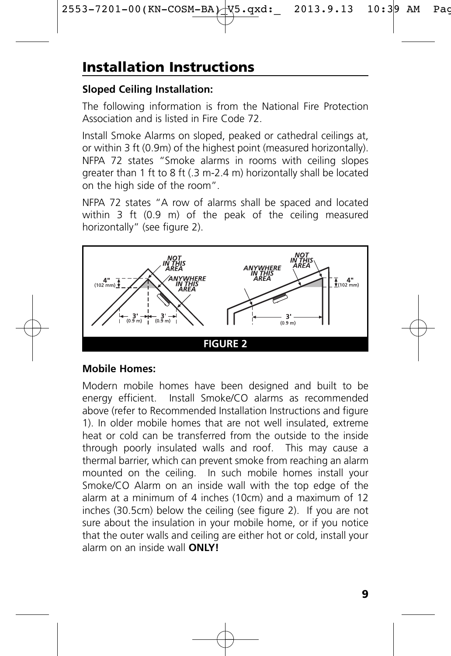# **Installation Instructions**

#### **Sloped Ceiling Installation:**

The following information is from the National Fire Protection Association and is listed in Fire Code 72.

Install Smoke Alarms on sloped, peaked or cathedral ceilings at, or within 3 ft (0.9m) of the highest point (measured horizontally). NFPA 72 states "Smoke alarms in rooms with ceiling slopes greater than 1 ft to 8 ft (.3 m-2.4 m) horizontally shall be located on the high side of the room".

NFPA 72 states "A row of alarms shall be spaced and located within 3 ft (0.9 m) of the peak of the ceiling measured horizontally" (see figure 2).



#### **Mobile Homes:**

Modern mobile homes have been designed and built to be energy efficient. Install Smoke/CO alarms as recommended above (refer to Recommended Installation Instructions and figure 1). In older mobile homes that are not well insulated, extreme heat or cold can be transferred from the outside to the inside through poorly insulated walls and roof. This may cause a thermal barrier, which can prevent smoke from reaching an alarm mounted on the ceiling. In such mobile homes install your Smoke/CO Alarm on an inside wall with the top edge of the alarm at a minimum of 4 inches (10cm) and a maximum of 12 inches (30.5cm) below the ceiling (see figure 2). If you are not sure about the insulation in your mobile home, or if you notice that the outer walls and ceiling are either hot or cold, install your alarm on an inside wall **ONLY!**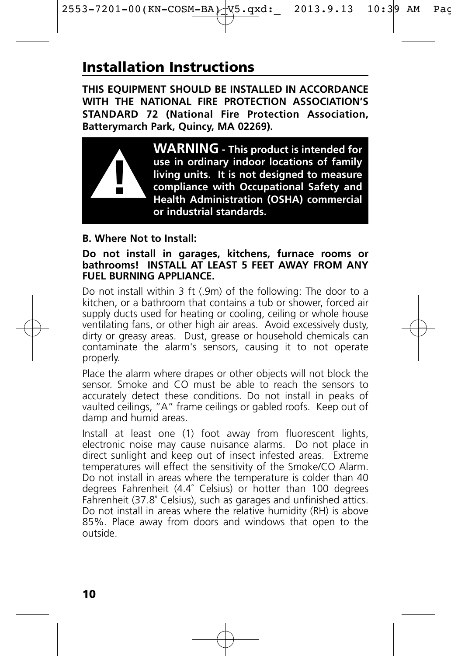# **Installation Instructions**

**THIS EQUIPMENT SHOULD BE INSTALLED IN ACCORDANCE WITH THE NATIONAL FIRE PROTECTION ASSOCIATION'S STANDARD 72 (National Fire Protection Association, Batterymarch Park, Quincy, MA 02269).**



**WARNING - This product is intended for use in ordinary indoor locations of family living units. It is not designed to measure compliance with Occupational Safety and Health Administration (OSHA) commercial or industrial standards.**

#### **B. Where Not to Install:**

#### **Do not install in garages, kitchens, furnace rooms or bathrooms! INSTALL AT LEAST 5 FEET AWAY FROM ANY FUEL BURNING APPLIANCE.**

Do not install within 3 ft (.9m) of the following: The door to a kitchen, or a bathroom that contains a tub or shower, forced air supply ducts used for heating or cooling, ceiling or whole house ventilating fans, or other high air areas. Avoid excessively dusty, dirty or greasy areas. Dust, grease or household chemicals can contaminate the alarm's sensors, causing it to not operate properly.

Place the alarm where drapes or other objects will not block the sensor. Smoke and CO must be able to reach the sensors to accurately detect these conditions. Do not install in peaks of vaulted ceilings, "A" frame ceilings or gabled roofs. Keep out of damp and humid areas.

Install at least one (1) foot away from fluorescent lights, electronic noise may cause nuisance alarms. Do not place in direct sunlight and keep out of insect infested areas. Extreme temperatures will effect the sensitivity of the Smoke/CO Alarm. Do not install in areas where the temperature is colder than 40 degrees Fahrenheit (4.4˚ Celsius) or hotter than 100 degrees Fahrenheit (37.8˚ Celsius), such as garages and unfinished attics. Do not install in areas where the relative humidity (RH) is above 85%. Place away from doors and windows that open to the outside.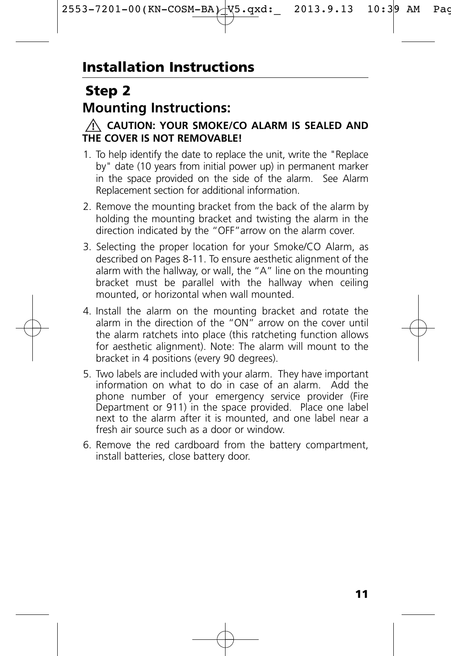### **Step 2 Mounting Instructions:**



- 1. To help identify the date to replace the unit, write the "Replace by" date (10 years from initial power up) in permanent marker in the space provided on the side of the alarm. See Alarm Replacement section for additional information.
- 2. Remove the mounting bracket from the back of the alarm by holding the mounting bracket and twisting the alarm in the direction indicated by the "OFF"arrow on the alarm cover.
- 3. Selecting the proper location for your Smoke/CO Alarm, as described on Pages 8-11. To ensure aesthetic alignment of the alarm with the hallway, or wall, the "A" line on the mounting bracket must be parallel with the hallway when ceiling mounted, or horizontal when wall mounted.
- 4. Install the alarm on the mounting bracket and rotate the alarm in the direction of the "ON" arrow on the cover until the alarm ratchets into place (this ratcheting function allows for aesthetic alignment). Note: The alarm will mount to the bracket in 4 positions (every 90 degrees).
- 5. Two labels are included with your alarm. They have important information on what to do in case of an alarm. Add the phone number of your emergency service provider (Fire Department or 911) in the space provided. Place one label next to the alarm after it is mounted, and one label near a fresh air source such as a door or window.
- 6. Remove the red cardboard from the battery compartment, install batteries, close battery door.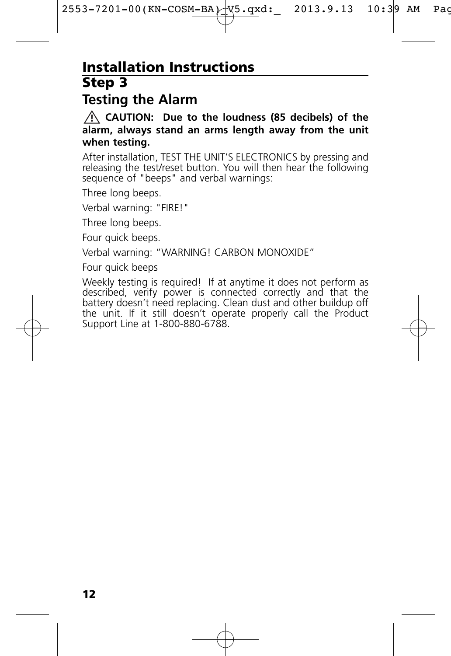### **Step 3 Installation Instructions**

### **Testing the Alarm**

**CAUTION: Due to the loudness (85 decibels) of the ! alarm, always stand an arms length away from the unit when testing.**

After installation, TEST THE UNIT'S ELECTRONICS by pressing and releasing the test/reset button. You will then hear the following sequence of "beeps" and verbal warnings:

Three long beeps.

Verbal warning: "FIRE!"

Three long beeps.

Four quick beeps.

Verbal warning: "WARNING! CARBON MONOXIDE"

Four quick beeps

Weekly testing is required! If at anytime it does not perform as described, verify power is connected correctly and that the battery doesn't need replacing. Clean dust and other buildup off the unit. If it still doesn't operate properly call the Product Support Line at 1-800-880-6788.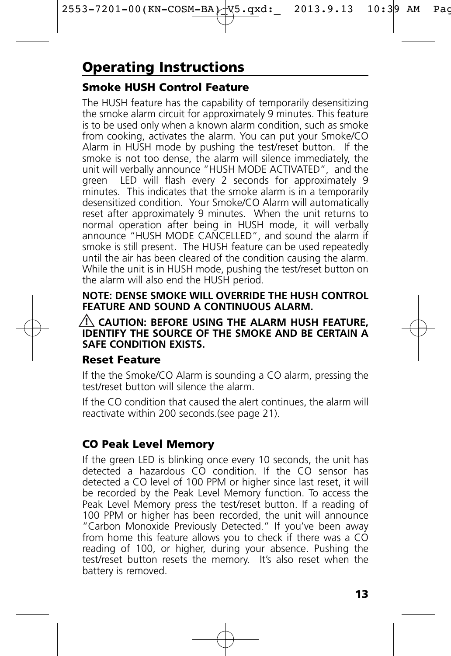# **Operating Instructions**

### **Smoke HUSH Control Feature**

The HUSH feature has the capability of temporarily desensitizing the smoke alarm circuit for approximately 9 minutes. This feature is to be used only when a known alarm condition, such as smoke from cooking, activates the alarm. You can put your Smoke/CO Alarm in HUSH mode by pushing the test/reset button. If the smoke is not too dense, the alarm will silence immediately, the unit will verbally announce "HUSH MODE ACTIVATED", and the green LED will flash every 2 seconds for approximately 9 minutes. This indicates that the smoke alarm is in a temporarily desensitized condition. Your Smoke/CO Alarm will automatically reset after approximately 9 minutes. When the unit returns to normal operation after being in HUSH mode, it will verbally announce "HUSH MODE CANCELLED", and sound the alarm if smoke is still present. The HUSH feature can be used repeatedly until the air has been cleared of the condition causing the alarm. While the unit is in HUSH mode, pushing the test/reset button on the alarm will also end the HUSH period.

#### **NOTE: DENSE SMOKE WILL OVERRIDE THE HUSH CONTROL FEATURE AND SOUND A CONTINUOUS ALARM.**

#### **CAUTION: BEFORE USING THE ALARM HUSH FEATURE, ! IDENTIFY THE SOURCE OF THE SMOKE AND BE CERTAIN A SAFE CONDITION EXISTS.**

#### **Reset Feature**

If the the Smoke/CO Alarm is sounding a CO alarm, pressing the test/reset button will silence the alarm.

If the CO condition that caused the alert continues, the alarm will reactivate within 200 seconds.(see page 21).

### **CO Peak Level Memory**

If the green LED is blinking once every 10 seconds, the unit has detected a hazardous CO condition. If the CO sensor has detected a CO level of 100 PPM or higher since last reset, it will be recorded by the Peak Level Memory function. To access the Peak Level Memory press the test/reset button. If a reading of 100 PPM or higher has been recorded, the unit will announce "Carbon Monoxide Previously Detected." If you've been away from home this feature allows you to check if there was a CO reading of 100, or higher, during your absence. Pushing the test/reset button resets the memory. It's also reset when the battery is removed.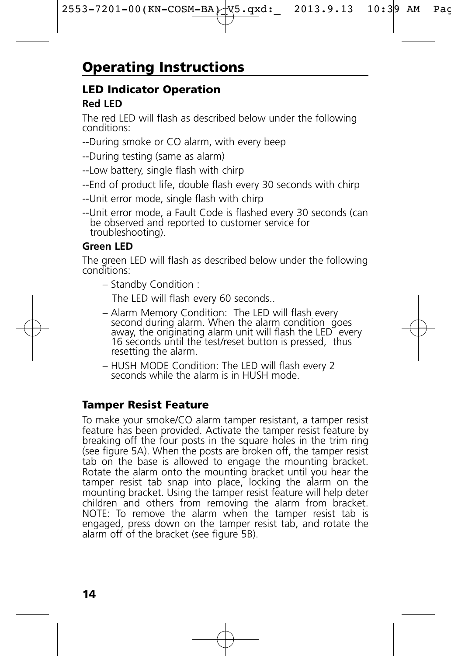# **Operating Instructions**

### **LED Indicator Operation**

#### **Red LED**

The red LED will flash as described below under the following conditions:

- --During smoke or CO alarm, with every beep
- --During testing (same as alarm)
- --Low battery, single flash with chirp
- --End of product life, double flash every 30 seconds with chirp
- --Unit error mode, single flash with chirp
- --Unit error mode, a Fault Code is flashed every 30 seconds (can be observed and reported to customer service for troubleshooting).

#### **Green LED**

The green LED will flash as described below under the following conditions:

– Standby Condition :

The LED will flash every 60 seconds..

- Alarm Memory Condition: The LED will flash every second during alarm. When the alarm condition goes away, the originating alarm unit will flash the LED every 16 seconds until the test/reset button is pressed, thus resetting the alarm.
- HUSH MODE Condition: The LED will flash every 2 seconds while the alarm is in HUSH mode.

#### **Tamper Resist Feature**

To make your smoke/CO alarm tamper resistant, a tamper resist feature has been provided. Activate the tamper resist feature by breaking off the four posts in the square holes in the trim ring (see figure 5A). When the posts are broken off, the tamper resist tab on the base is allowed to engage the mounting bracket. Rotate the alarm onto the mounting bracket until you hear the tamper resist tab snap into place, locking the alarm on the mounting bracket. Using the tamper resist feature will help deter children and others from removing the alarm from bracket. NOTE: To remove the alarm when the tamper resist tab is engaged, press down on the tamper resist tab, and rotate the alarm off of the bracket (see figure 5B).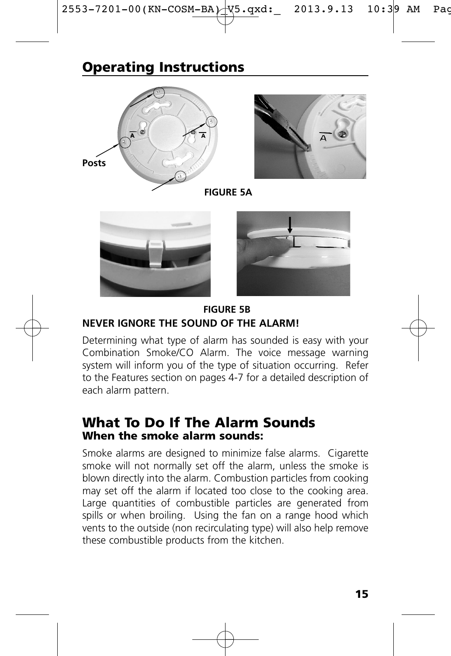# **Operating Instructions**





**FIGURE 5A**





**NEVER IGNORE THE SOUND OF THE ALARM! FIGURE 5B**

Determining what type of alarm has sounded is easy with your Combination Smoke/CO Alarm. The voice message warning system will inform you of the type of situation occurring. Refer to the Features section on pages 4-7 for a detailed description of each alarm pattern.

### **What To Do If The Alarm Sounds When the smoke alarm sounds:**

Smoke alarms are designed to minimize false alarms. Cigarette smoke will not normally set off the alarm, unless the smoke is blown directly into the alarm. Combustion particles from cooking may set off the alarm if located too close to the cooking area. Large quantities of combustible particles are generated from spills or when broiling. Using the fan on a range hood which vents to the outside (non recirculating type) will also help remove these combustible products from the kitchen.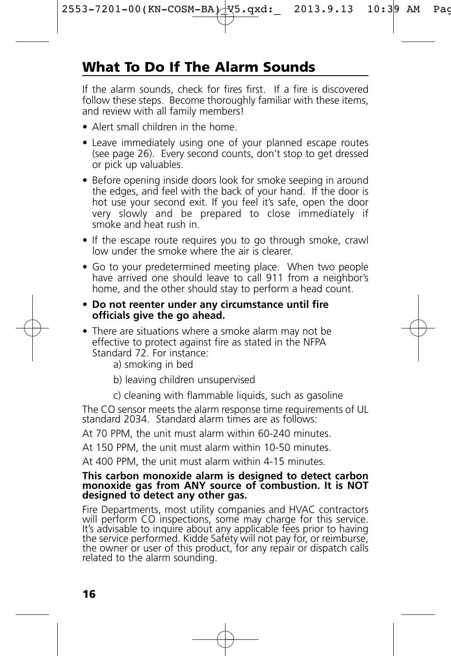# **What To Do If The Alarm Sounds**

If the alarm sounds, check for fires first. If a fire is discovered follow these steps. Become thoroughly familiar with these items, and review with all family members!

- Alert small children in the home.
- Leave immediately using one of your planned escape routes (see page 26). Every second counts, don't stop to get dressed or pick up valuables.
- Before opening inside doors look for smoke seeping in around the edges, and feel with the back of your hand. If the door is hot use your second exit. If you feel it's safe, open the door very slowly and be prepared to close immediately if smoke and heat rush in.
- If the escape route requires you to go through smoke, crawl low under the smoke where the air is clearer.
- Go to your predetermined meeting place. When two people have arrived one should leave to call 911 from a neighbor's home, and the other should stay to perform a head count.
- **Do not reenter under any circumstance until fire officials give the go ahead.**
- There are situations where a smoke alarm may not be effective to protect against fire as stated in the NFPA Standard 72. For instance:

a) smoking in bed

- b) leaving children unsupervised
- c) cleaning with flammable liquids, such as gasoline

The CO sensor meets the alarm response time requirements of UL standard 2034. Standard alarm times are as follows:

At 70 PPM, the unit must alarm within 60-240 minutes.

At 150 PPM, the unit must alarm within 10-50 minutes.

At 400 PPM, the unit must alarm within 4-15 minutes.

#### **This carbon monoxide alarm is designed to detect carbon monoxide gas from ANY source of combustion. It is NOT designed to detect any other gas.**

Fire Departments, most utility companies and HVAC contractors will perform CO inspections, some may charge for this service. It's advisable to inquire about any applicable fees prior to having the service performed. Kidde Safety will not pay for, or reimburse, the owner or user of this product, for any repair or dispatch calls related to the alarm sounding.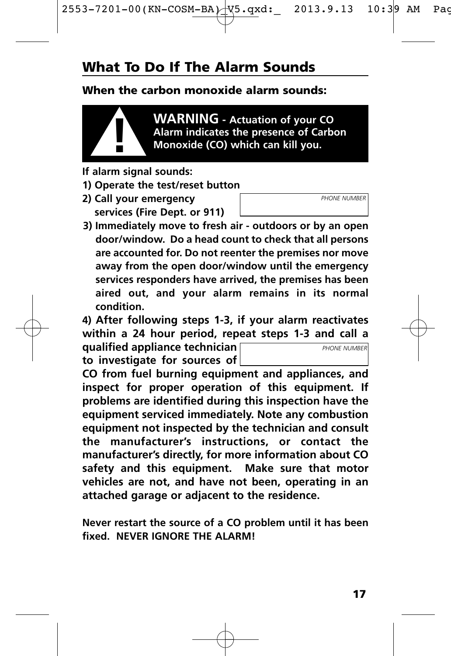# **What To Do If The Alarm Sounds**

#### **When the carbon monoxide alarm sounds:**



**WARNING - Actuation of your CO Alarm indicates the presence of Carbon ! Monoxide (CO) which can kill you.**

- **If alarm signal sounds:**
- **1) Operate the test/reset button**
- **2) Call your emergency services (Fire Dept. or 911)**
- **3) Immediately move to fresh air outdoors or by an open door/window. Do a head count to check that all persons are accounted for. Do not reenter the premises nor move away from the open door/window until the emergency services responders have arrived, the premises has been aired out, and your alarm remains in its normal condition.**

**4) After following steps 1-3, if your alarm reactivates within a 24 hour period, repeat steps 1-3 and call a**

**qualified appliance technician to investigate for sources of**

**CO from fuel burning equipment and appliances, and inspect for proper operation of this equipment. If problems are identified during this inspection have the equipment serviced immediately. Note any combustion equipment not inspected by the technician and consult** instructions, or contact the **manufacturer's directly, for more information about CO safety and this equipment. Make sure that motor vehicles are not, and have not been, operating in an attached garage or adjacent to the residence.**

**Never restart the source of a CO problem until it has been fixed. NEVER IGNORE THE ALARM!**

*PHONE NUMBER*

*PHONE NUMBER*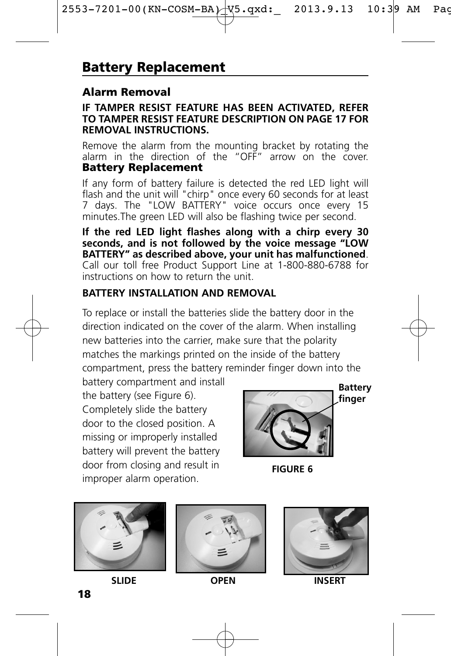### **Alarm Removal**

#### **IF TAMPER RESIST FEATURE HAS BEEN ACTIVATED, REFER TO TAMPER RESIST FEATURE DESCRIPTION ON PAGE 17 FOR REMOVAL INSTRUCTIONS.**

Remove the alarm from the mounting bracket by rotating the alarm in the direction of the "OFF" arrow on the cover. **Battery Replacement** 

If any form of battery failure is detected the red LED light will flash and the unit will "chirp" once every 60 seconds for at least 7 days. The "LOW BATTERY" voice occurs once every 15 minutes.The green LED will also be flashing twice per second.

**If the red LED light flashes along with a chirp every 30 seconds, and is not followed by the voice message "LOW BATTERY" as described above, your unit has malfunctioned**. Call our toll free Product Support Line at 1-800-880-6788 for instructions on how to return the unit.

#### **BATTERY INSTALLATION AND REMOVAL**

To replace or install the batteries slide the battery door in the direction indicated on the cover of the alarm. When installing new batteries into the carrier, make sure that the polarity matches the markings printed on the inside of the battery compartment, press the battery reminder finger down into the

battery compartment and install the battery (see Figure 6). Completely slide the battery door to the closed position. A missing or improperly installed battery will prevent the battery door from closing and result in improper alarm operation.



**FIGURE 6** 







**SLIDE OPEN INSERT**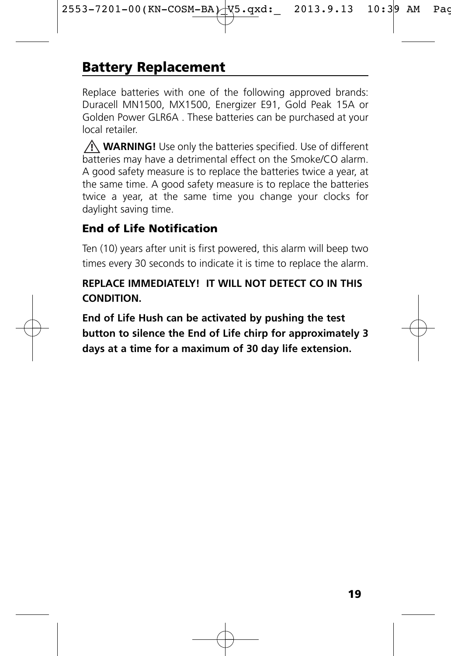# **Battery Replacement**

Replace batteries with one of the following approved brands: Duracell MN1500, MX1500, Energizer E91, Gold Peak 15A or Golden Power GLR6A . These batteries can be purchased at your local retailer.

**WARNING!** Use only the batteries specified. Use of different **!** batteries may have a detrimental effect on the Smoke/CO alarm. A good safety measure is to replace the batteries twice a year, at the same time. A good safety measure is to replace the batteries twice a year, at the same time you change your clocks for daylight saving time.

### **End of Life Notification**

Ten (10) years after unit is first powered, this alarm will beep two times every 30 seconds to indicate it is time to replace the alarm.

### **REPLACE IMMEDIATELY! IT WILL NOT DETECT CO IN THIS CONDITION.**

**End of Life Hush can be activated by pushing the test button to silence the End of Life chirp for approximately 3 days at a time for a maximum of 30 day life extension.**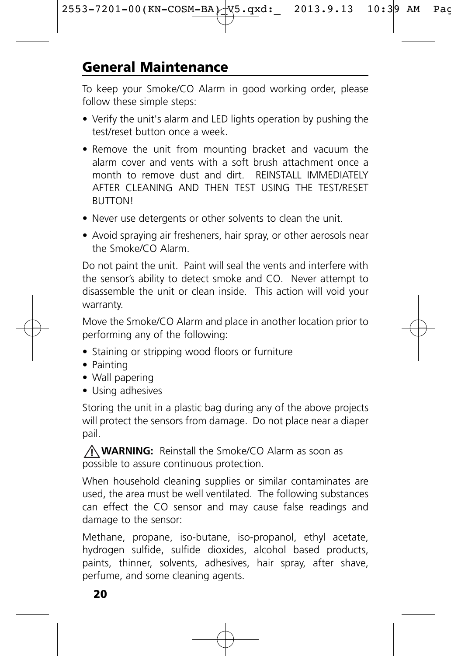To keep your Smoke/CO Alarm in good working order, please follow these simple steps:

- Verify the unit's alarm and LED lights operation by pushing the test/reset button once a week.
- Remove the unit from mounting bracket and vacuum the alarm cover and vents with a soft brush attachment once a month to remove dust and dirt. REINSTALL IMMEDIATELY AFTER CLEANING AND THEN TEST USING THE TEST/RESET **BUTTON!**
- Never use detergents or other solvents to clean the unit.
- Avoid spraying air fresheners, hair spray, or other aerosols near the Smoke/CO Alarm.

Do not paint the unit. Paint will seal the vents and interfere with the sensor's ability to detect smoke and CO. Never attempt to disassemble the unit or clean inside. This action will void your warranty.

Move the Smoke/CO Alarm and place in another location prior to performing any of the following:

- Staining or stripping wood floors or furniture
- Painting
- Wall papering
- Using adhesives

Storing the unit in a plastic bag during any of the above projects will protect the sensors from damage. Do not place near a diaper pail.

**! WARNING:** Reinstall the Smoke/CO Alarm as soon as possible to assure continuous protection.

When household cleaning supplies or similar contaminates are used, the area must be well ventilated. The following substances can effect the CO sensor and may cause false readings and damage to the sensor:

Methane, propane, iso-butane, iso-propanol, ethyl acetate, hydrogen sulfide, sulfide dioxides, alcohol based products, paints, thinner, solvents, adhesives, hair spray, after shave, perfume, and some cleaning agents.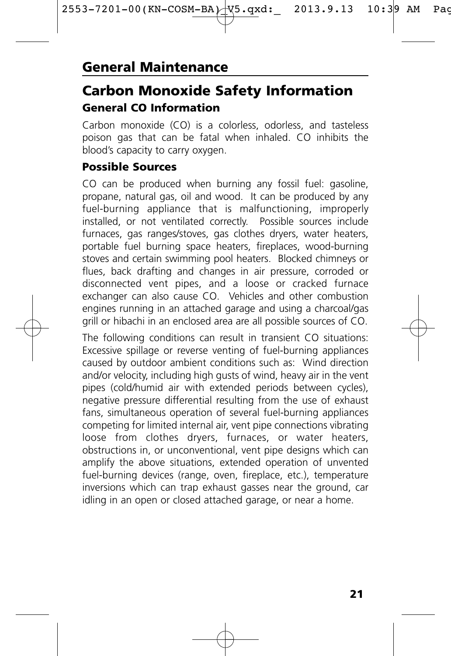### **Carbon Monoxide Safety Information General CO Information**

Carbon monoxide (CO) is a colorless, odorless, and tasteless poison gas that can be fatal when inhaled. CO inhibits the blood's capacity to carry oxygen.

#### **Possible Sources**

CO can be produced when burning any fossil fuel: gasoline, propane, natural gas, oil and wood. It can be produced by any fuel-burning appliance that is malfunctioning, improperly installed, or not ventilated correctly. Possible sources include furnaces, gas ranges/stoves, gas clothes dryers, water heaters, portable fuel burning space heaters, fireplaces, wood-burning stoves and certain swimming pool heaters. Blocked chimneys or flues, back drafting and changes in air pressure, corroded or disconnected vent pipes, and a loose or cracked furnace exchanger can also cause CO. Vehicles and other combustion engines running in an attached garage and using a charcoal/gas grill or hibachi in an enclosed area are all possible sources of CO.

The following conditions can result in transient CO situations: Excessive spillage or reverse venting of fuel-burning appliances caused by outdoor ambient conditions such as: Wind direction and/or velocity, including high gusts of wind, heavy air in the vent pipes (cold/humid air with extended periods between cycles), negative pressure differential resulting from the use of exhaust fans, simultaneous operation of several fuel-burning appliances competing for limited internal air, vent pipe connections vibrating loose from clothes dryers, furnaces, or water heaters, obstructions in, or unconventional, vent pipe designs which can amplify the above situations, extended operation of unvented fuel-burning devices (range, oven, fireplace, etc.), temperature inversions which can trap exhaust gasses near the ground, car idling in an open or closed attached garage, or near a home.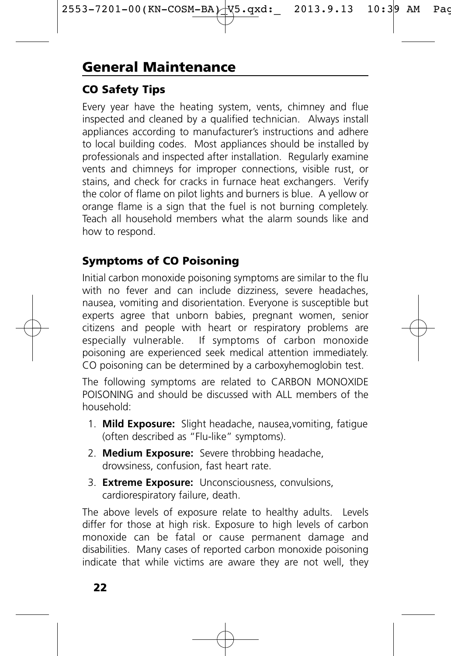### **CO Safety Tips**

Every year have the heating system, vents, chimney and flue inspected and cleaned by a qualified technician. Always install appliances according to manufacturer's instructions and adhere to local building codes. Most appliances should be installed by professionals and inspected after installation. Regularly examine vents and chimneys for improper connections, visible rust, or stains, and check for cracks in furnace heat exchangers. Verify the color of flame on pilot lights and burners is blue. A yellow or orange flame is a sign that the fuel is not burning completely. Teach all household members what the alarm sounds like and how to respond.

### **Symptoms of CO Poisoning**

Initial carbon monoxide poisoning symptoms are similar to the flu with no fever and can include dizziness, severe headaches, nausea, vomiting and disorientation. Everyone is susceptible but experts agree that unborn babies, pregnant women, senior citizens and people with heart or respiratory problems are especially vulnerable. If symptoms of carbon monoxide poisoning are experienced seek medical attention immediately. CO poisoning can be determined by a carboxyhemoglobin test.

The following symptoms are related to CARBON MONOXIDE POISONING and should be discussed with ALL members of the household:

- 1. **Mild Exposure:** Slight headache, nausea,vomiting, fatigue (often described as "Flu-like" symptoms).
- 2. **Medium Exposure:** Severe throbbing headache, drowsiness, confusion, fast heart rate.
- 3. **Extreme Exposure:** Unconsciousness, convulsions, cardiorespiratory failure, death.

The above levels of exposure relate to healthy adults. Levels differ for those at high risk. Exposure to high levels of carbon monoxide can be fatal or cause permanent damage and disabilities. Many cases of reported carbon monoxide poisoning indicate that while victims are aware they are not well, they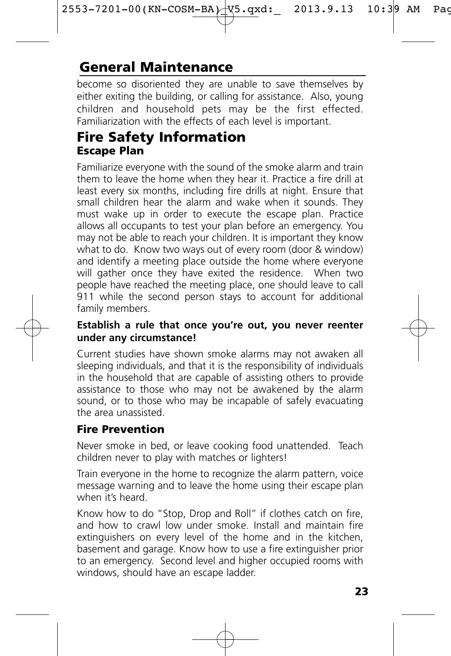# **General Maintenance**

become so disoriented they are unable to save themselves by either exiting the building, or calling for assistance. Also, young children and household pets may be the first effected. Familiarization with the effects of each level is important.

### **Fire Safety Information Escape Plan**

Familiarize everyone with the sound of the smoke alarm and train them to leave the home when they hear it. Practice a fire drill at least every six months, including fire drills at night. Ensure that small children hear the alarm and wake when it sounds. They must wake up in order to execute the escape plan. Practice allows all occupants to test your plan before an emergency. You may not be able to reach your children. It is important they know what to do. Know two ways out of every room (door & window) and identify a meeting place outside the home where everyone will gather once they have exited the residence. When two people have reached the meeting place, one should leave to call 911 while the second person stays to account for additional family members.

#### **Establish a rule that once you're out, you never reenter under any circumstance!**

Current studies have shown smoke alarms may not awaken all sleeping individuals, and that it is the responsibility of individuals in the household that are capable of assisting others to provide assistance to those who may not be awakened by the alarm sound, or to those who may be incapable of safely evacuating the area unassisted.

### **Fire Prevention**

Never smoke in bed, or leave cooking food unattended. Teach children never to play with matches or lighters!

Train everyone in the home to recognize the alarm pattern, voice message warning and to leave the home using their escape plan when it's heard.

Know how to do "Stop, Drop and Roll" if clothes catch on fire, and how to crawl low under smoke. Install and maintain fire extinguishers on every level of the home and in the kitchen, basement and garage. Know how to use a fire extinguisher prior to an emergency. Second level and higher occupied rooms with windows, should have an escape ladder.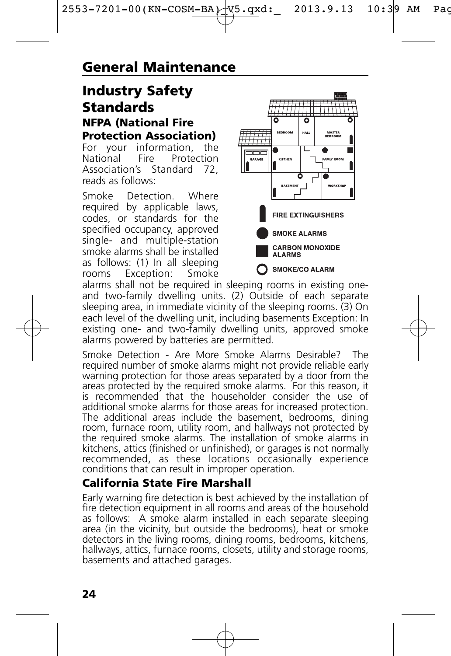### **Industry Safety Standards**

### **NFPA (National Fire Protection Association)**<br>For your information, the

For your information,<br>National Fire Proter Protection<br>.ndard 72 Association's Standard reads as follows:

Smoke Detection. Where required by applicable laws, codes, or standards for the specified occupancy, approved single- and multiple-station smoke alarms shall be installed as follows: (1) In all sleeping<br>rooms Exception: Smoke Exception:



alarms shall not be required in sleeping rooms in existing oneand two-family dwelling units. (2) Outside of each separate sleeping area, in immediate vicinity of the sleeping rooms. (3) On each level of the dwelling unit, including basements Exception: In existing one- and two-family dwelling units, approved smoke alarms powered by batteries are permitted.

Smoke Detection - Are More Smoke Alarms Desirable? The required number of smoke alarms might not provide reliable early warning protection for those areas separated by a door from the areas protected by the required smoke alarms. For this reason, it is recommended that the householder consider the use of additional smoke alarms for those areas for increased protection. The additional areas include the basement, bedrooms, dining room, furnace room, utility room, and hallways not protected by the required smoke alarms. The installation of smoke alarms in kitchens, attics (finished or unfinished), or garages is not normally recommended, as these locations occasionally experience conditions that can result in improper operation.

### **California State Fire Marshall**

Early warning fire detection is best achieved by the installation of fire detection equipment in all rooms and areas of the household as follows: A smoke alarm installed in each separate sleeping area (in the vicinity, but outside the bedrooms), heat or smoke detectors in the living rooms, dining rooms, bedrooms, kitchens, hallways, attics, furnace rooms, closets, utility and storage rooms, basements and attached garages.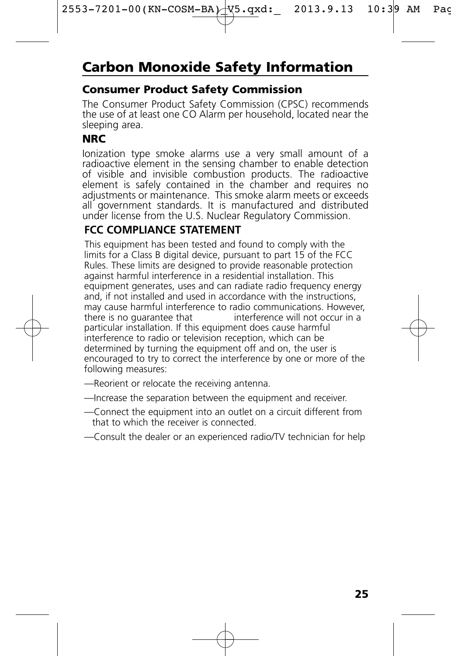# **Carbon Monoxide Safety Information**

#### **Consumer Product Safety Commission**

The Consumer Product Safety Commission (CPSC) recommends the use of at least one CO Alarm per household, located near the sleeping area.

### **NRC**

Ionization type smoke alarms use a very small amount of a radioactive element in the sensing chamber to enable detection of visible and invisible combustion products. The radioactive element is safely contained in the chamber and requires no adjustments or maintenance. This smoke alarm meets or exceeds all government standards. It is manufactured and distributed under license from the U.S. Nuclear Regulatory Commission.

### **FCC COMPLIANCE STATEMENT**

This equipment has been tested and found to comply with the limits for a Class B digital device, pursuant to part 15 of the FCC Rules. These limits are designed to provide reasonable protection against harmful interference in a residential installation. This equipment generates, uses and can radiate radio frequency energy and, if not installed and used in accordance with the instructions. may cause harmful interference to radio communications. However, there is no quarantee that interference will not occur in a particular installation. If this equipment does cause harmful interference to radio or television reception, which can be determined by turning the equipment off and on, the user is encouraged to try to correct the interference by one or more of the following measures:

- —Reorient or relocate the receiving antenna.
- —Increase the separation between the equipment and receiver.
- —Connect the equipment into an outlet on a circuit different from that to which the receiver is connected.
- —Consult the dealer or an experienced radio/TV technician for help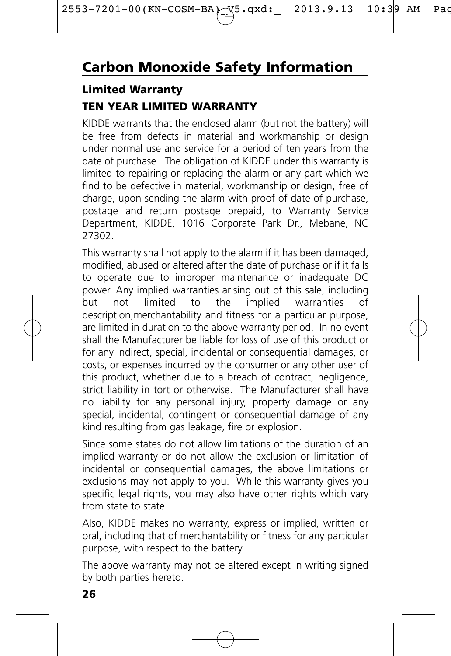### **Limited Warranty**

### **TEN YEAR LIMITED WARRANTY**

KIDDE warrants that the enclosed alarm (but not the battery) will be free from defects in material and workmanship or design under normal use and service for a period of ten years from the date of purchase. The obligation of KIDDE under this warranty is limited to repairing or replacing the alarm or any part which we find to be defective in material, workmanship or design, free of charge, upon sending the alarm with proof of date of purchase, postage and return postage prepaid, to Warranty Service Department, KIDDE, 1016 Corporate Park Dr., Mebane, NC 27302.

This warranty shall not apply to the alarm if it has been damaged, modified, abused or altered after the date of purchase or if it fails to operate due to improper maintenance or inadequate DC power. Any implied warranties arising out of this sale, including<br>but not limited to the implied warranties of but not limited to the implied warranties of description,merchantability and fitness for a particular purpose, are limited in duration to the above warranty period. In no event shall the Manufacturer be liable for loss of use of this product or for any indirect, special, incidental or consequential damages, or costs, or expenses incurred by the consumer or any other user of this product, whether due to a breach of contract, negligence, strict liability in tort or otherwise. The Manufacturer shall have no liability for any personal injury, property damage or any special, incidental, contingent or consequential damage of any kind resulting from gas leakage, fire or explosion.

Since some states do not allow limitations of the duration of an implied warranty or do not allow the exclusion or limitation of incidental or consequential damages, the above limitations or exclusions may not apply to you. While this warranty gives you specific legal rights, you may also have other rights which vary from state to state.

Also, KIDDE makes no warranty, express or implied, written or oral, including that of merchantability or fitness for any particular purpose, with respect to the battery.

The above warranty may not be altered except in writing signed by both parties hereto.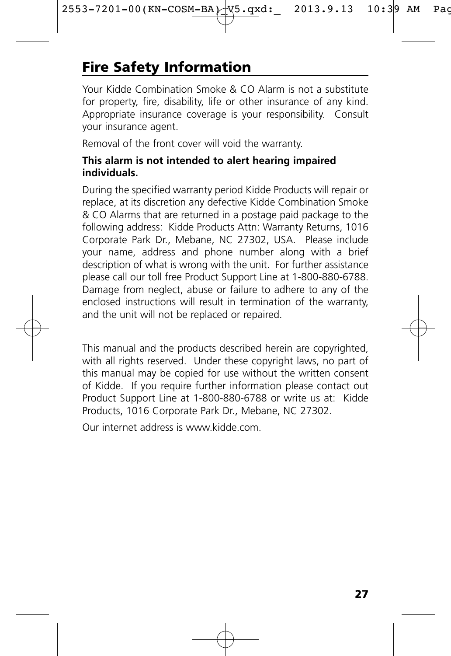# **Fire Safety Information**

Your Kidde Combination Smoke & CO Alarm is not a substitute for property, fire, disability, life or other insurance of any kind. Appropriate insurance coverage is your responsibility. Consult your insurance agent.

Removal of the front cover will void the warranty.

#### **This alarm is not intended to alert hearing impaired individuals.**

During the specified warranty period Kidde Products will repair or replace, at its discretion any defective Kidde Combination Smoke & CO Alarms that are returned in a postage paid package to the following address: Kidde Products Attn: Warranty Returns, 1016 Corporate Park Dr., Mebane, NC 27302, USA. Please include your name, address and phone number along with a brief description of what is wrong with the unit. For further assistance please call our toll free Product Support Line at 1-800-880-6788. Damage from neglect, abuse or failure to adhere to any of the enclosed instructions will result in termination of the warranty, and the unit will not be replaced or repaired.

This manual and the products described herein are copyrighted, with all rights reserved. Under these copyright laws, no part of this manual may be copied for use without the written consent of Kidde. If you require further information please contact out Product Support Line at 1-800-880-6788 or write us at: Kidde Products, 1016 Corporate Park Dr., Mebane, NC 27302.

Our internet address is www.kidde.com.